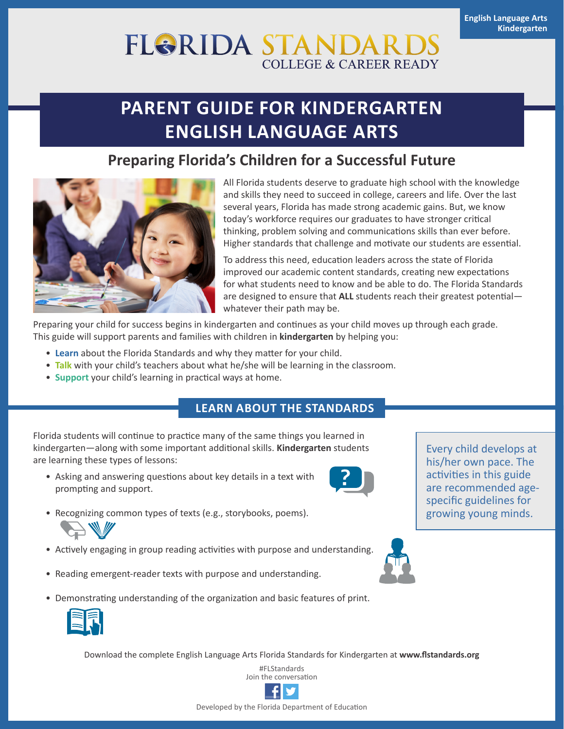# **FL&RIDA STANDAF COLLEGE & CAREER READY**

# **PARENT GUIDE FOR KINDERGARTEN ENGLISH LANGUAGE ARTS**

## **Preparing Florida's Children for a Successful Future**



All Florida students deserve to graduate high school with the knowledge and skills they need to succeed in college, careers and life. Over the last several years, Florida has made strong academic gains. But, we know today's workforce requires our graduates to have stronger critical thinking, problem solving and communications skills than ever before. Higher standards that challenge and motivate our students are essential.

To address this need, education leaders across the state of Florida improved our academic content standards, creating new expectations for what students need to know and be able to do. The Florida Standards are designed to ensure that **ALL** students reach their greatest potential whatever their path may be.

Preparing your child for success begins in kindergarten and continues as your child moves up through each grade. This guide will support parents and families with children in **kindergarten** by helping you:

- **Learn** about the Florida Standards and why they matter for your child.
- **Talk** with your child's teachers about what he/she will be learning in the classroom.
- **Support** your child's learning in practical ways at home.

### **LEARN ABOUT THE STANDARDS**

Florida students will continue to practice many of the same things you learned in kindergarten—along with some important additional skills. **Kindergarten** students are learning these types of lessons:

• Asking and answering questions about key details in a text with prompting and support.



Every child develops at his/her own pace. The activities in this guide are recommended agespecific guidelines for growing young minds.

- Recognizing common types of texts (e.g., storybooks, poems).
- Actively engaging in group reading activities with purpose and understanding.
- Reading emergent-reader texts with purpose and understanding.
- Demonstrating understanding of the organization and basic features of print.



Download the complete English Language Arts Florida Standards for Kindergarten at **[www.flstandards.org](http://www.flstandards.org)**

#FLStandards Join the conversation